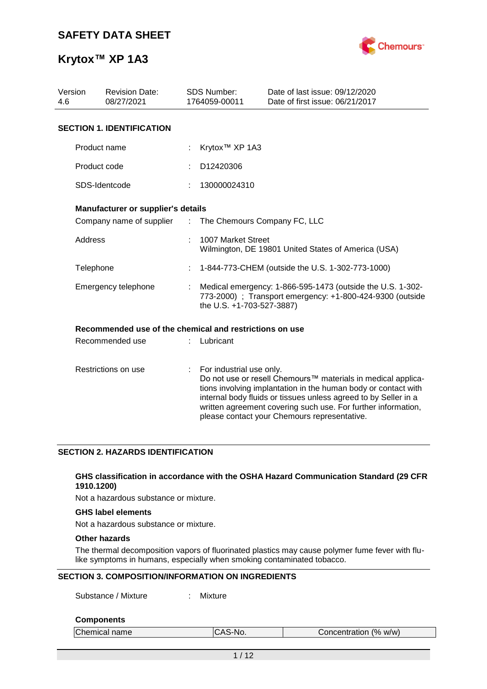

| Version<br><b>Revision Date:</b><br>08/27/2021<br>4.6 |                                                         |                               | <b>SDS Number:</b><br>1764059-00011 | Date of last issue: 09/12/2020<br>Date of first issue: 06/21/2017                                                                                                                                                                                                                                                  |
|-------------------------------------------------------|---------------------------------------------------------|-------------------------------|-------------------------------------|--------------------------------------------------------------------------------------------------------------------------------------------------------------------------------------------------------------------------------------------------------------------------------------------------------------------|
|                                                       | <b>SECTION 1. IDENTIFICATION</b>                        |                               |                                     |                                                                                                                                                                                                                                                                                                                    |
|                                                       | Product name                                            |                               | Krytox <sup>™</sup> XP 1A3          |                                                                                                                                                                                                                                                                                                                    |
|                                                       | Product code                                            |                               | D12420306                           |                                                                                                                                                                                                                                                                                                                    |
|                                                       | SDS-Identcode                                           |                               | 130000024310                        |                                                                                                                                                                                                                                                                                                                    |
|                                                       | Manufacturer or supplier's details                      |                               |                                     |                                                                                                                                                                                                                                                                                                                    |
|                                                       | Company name of supplier                                | $\mathcal{I}^{\mathcal{I}}$ . | The Chemours Company FC, LLC        |                                                                                                                                                                                                                                                                                                                    |
| Address                                               |                                                         |                               | 1007 Market Street                  | Wilmington, DE 19801 United States of America (USA)                                                                                                                                                                                                                                                                |
| Telephone                                             |                                                         |                               |                                     | 1-844-773-CHEM (outside the U.S. 1-302-773-1000)                                                                                                                                                                                                                                                                   |
|                                                       | Emergency telephone                                     |                               | the U.S. +1-703-527-3887)           | Medical emergency: 1-866-595-1473 (outside the U.S. 1-302-<br>773-2000) ; Transport emergency: +1-800-424-9300 (outside                                                                                                                                                                                            |
|                                                       | Recommended use of the chemical and restrictions on use |                               |                                     |                                                                                                                                                                                                                                                                                                                    |
|                                                       | Recommended use                                         |                               | Lubricant                           |                                                                                                                                                                                                                                                                                                                    |
|                                                       | Restrictions on use                                     | ÷                             | For industrial use only.            | Do not use or resell Chemours™ materials in medical applica-<br>tions involving implantation in the human body or contact with<br>internal body fluids or tissues unless agreed to by Seller in a<br>written agreement covering such use. For further information,<br>please contact your Chemours representative. |

### **SECTION 2. HAZARDS IDENTIFICATION**

### **GHS classification in accordance with the OSHA Hazard Communication Standard (29 CFR 1910.1200)**

Not a hazardous substance or mixture.

### **GHS label elements**

Not a hazardous substance or mixture.

### **Other hazards**

The thermal decomposition vapors of fluorinated plastics may cause polymer fume fever with flulike symptoms in humans, especially when smoking contaminated tobacco.

### **SECTION 3. COMPOSITION/INFORMATION ON INGREDIENTS**

Substance / Mixture : Mixture

### **Components**

| Chemical name | CAS-No.<br>IUAJ | Concentration (% w/w) |
|---------------|-----------------|-----------------------|
|               |                 |                       |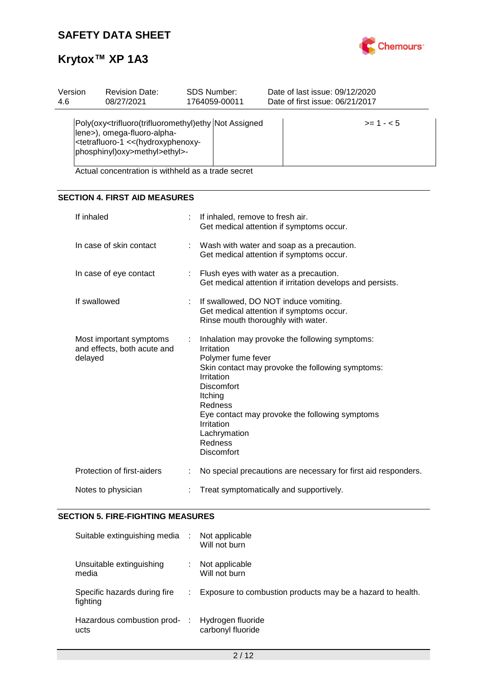

| Version | <b>Revision Date:</b>                                                                                                             | SDS Number:                                                                                       | Date of last issue: 09/12/2020  |  |  |  |  |
|---------|-----------------------------------------------------------------------------------------------------------------------------------|---------------------------------------------------------------------------------------------------|---------------------------------|--|--|--|--|
| 4.6     | 08/27/2021                                                                                                                        | 1764059-00011                                                                                     | Date of first issue: 06/21/2017 |  |  |  |  |
|         | lene>), omega-fluoro-alpha-<br><tetrafluoro-1 (hydroxyphenoxy-<br="" <<="">phosphinyl)oxy&gt;methyl&gt;ethyl&gt;-</tetrafluoro-1> | Poly(oxy <trifluoro(trifluoromethyl)ethy assigned<br="" not="">.</trifluoro(trifluoromethyl)ethy> | $>= 1 - 5$                      |  |  |  |  |

Actual concentration is withheld as a trade secret

### **SECTION 4. FIRST AID MEASURES**

| If inhaled                                                        |    | If inhaled, remove to fresh air.<br>Get medical attention if symptoms occur.                                                                                                                                                                                                                                    |
|-------------------------------------------------------------------|----|-----------------------------------------------------------------------------------------------------------------------------------------------------------------------------------------------------------------------------------------------------------------------------------------------------------------|
| In case of skin contact                                           |    | Wash with water and soap as a precaution.<br>Get medical attention if symptoms occur.                                                                                                                                                                                                                           |
| In case of eye contact                                            | ÷. | Flush eyes with water as a precaution.<br>Get medical attention if irritation develops and persists.                                                                                                                                                                                                            |
| If swallowed                                                      |    | : If swallowed, DO NOT induce vomiting.<br>Get medical attention if symptoms occur.<br>Rinse mouth thoroughly with water.                                                                                                                                                                                       |
| Most important symptoms<br>and effects, both acute and<br>delayed |    | Inhalation may provoke the following symptoms:<br>Irritation<br>Polymer fume fever<br>Skin contact may provoke the following symptoms:<br>Irritation<br><b>Discomfort</b><br>Itching<br>Redness<br>Eye contact may provoke the following symptoms<br>Irritation<br>Lachrymation<br>Redness<br><b>Discomfort</b> |
| Protection of first-aiders                                        |    | No special precautions are necessary for first aid responders.                                                                                                                                                                                                                                                  |
| Notes to physician                                                |    | Treat symptomatically and supportively.                                                                                                                                                                                                                                                                         |

### **SECTION 5. FIRE-FIGHTING MEASURES**

| Suitable extinguishing media<br>- 11     | Not applicable<br>Will not burn                            |
|------------------------------------------|------------------------------------------------------------|
| Unsuitable extinguishing<br>media        | Not applicable<br>Will not burn                            |
| Specific hazards during fire<br>fighting | Exposure to combustion products may be a hazard to health. |
| Hazardous combustion prod-<br>ucts       | Hydrogen fluoride<br>carbonyl fluoride                     |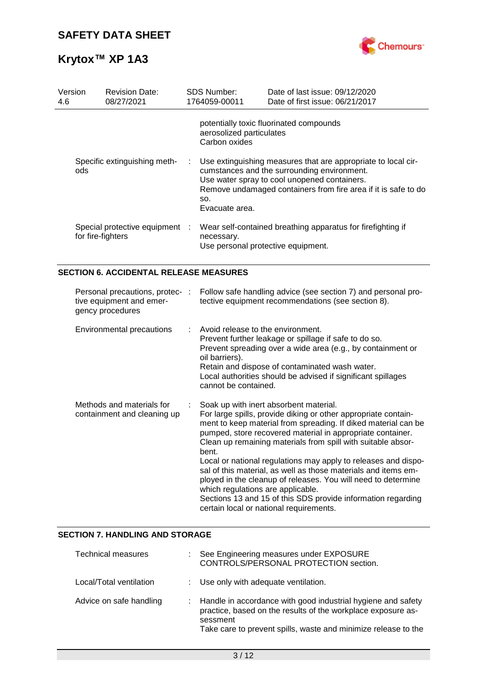

| Version<br>4.6 | <b>Revision Date:</b><br>08/27/2021                                             |   | SDS Number:<br>1764059-00011                                                | Date of last issue: 09/12/2020<br>Date of first issue: 06/21/2017                                                                                                                                                                                                                                                                                                                                                                                                                                                                                                                                                        |
|----------------|---------------------------------------------------------------------------------|---|-----------------------------------------------------------------------------|--------------------------------------------------------------------------------------------------------------------------------------------------------------------------------------------------------------------------------------------------------------------------------------------------------------------------------------------------------------------------------------------------------------------------------------------------------------------------------------------------------------------------------------------------------------------------------------------------------------------------|
|                |                                                                                 |   | aerosolized particulates<br>Carbon oxides                                   | potentially toxic fluorinated compounds                                                                                                                                                                                                                                                                                                                                                                                                                                                                                                                                                                                  |
|                | Specific extinguishing meth-<br>ods                                             | ÷ | SO.<br>Evacuate area.                                                       | Use extinguishing measures that are appropriate to local cir-<br>cumstances and the surrounding environment.<br>Use water spray to cool unopened containers.<br>Remove undamaged containers from fire area if it is safe to do                                                                                                                                                                                                                                                                                                                                                                                           |
|                | Special protective equipment :<br>for fire-fighters                             |   | necessary.                                                                  | Wear self-contained breathing apparatus for firefighting if<br>Use personal protective equipment.                                                                                                                                                                                                                                                                                                                                                                                                                                                                                                                        |
|                | <b>SECTION 6. ACCIDENTAL RELEASE MEASURES</b>                                   |   |                                                                             |                                                                                                                                                                                                                                                                                                                                                                                                                                                                                                                                                                                                                          |
|                | Personal precautions, protec- :<br>tive equipment and emer-<br>gency procedures |   |                                                                             | Follow safe handling advice (see section 7) and personal pro-<br>tective equipment recommendations (see section 8).                                                                                                                                                                                                                                                                                                                                                                                                                                                                                                      |
|                | Environmental precautions                                                       | ÷ | Avoid release to the environment.<br>oil barriers).<br>cannot be contained. | Prevent further leakage or spillage if safe to do so.<br>Prevent spreading over a wide area (e.g., by containment or<br>Retain and dispose of contaminated wash water.<br>Local authorities should be advised if significant spillages                                                                                                                                                                                                                                                                                                                                                                                   |
|                | Methods and materials for<br>containment and cleaning up                        |   | bent.<br>which regulations are applicable.                                  | Soak up with inert absorbent material.<br>For large spills, provide diking or other appropriate contain-<br>ment to keep material from spreading. If diked material can be<br>pumped, store recovered material in appropriate container.<br>Clean up remaining materials from spill with suitable absor-<br>Local or national regulations may apply to releases and dispo-<br>sal of this material, as well as those materials and items em-<br>ployed in the cleanup of releases. You will need to determine<br>Sections 13 and 15 of this SDS provide information regarding<br>certain local or national requirements. |

### **SECTION 7. HANDLING AND STORAGE**

| Technical measures      | See Engineering measures under EXPOSURE<br>CONTROLS/PERSONAL PROTECTION section.                                                                                                                           |
|-------------------------|------------------------------------------------------------------------------------------------------------------------------------------------------------------------------------------------------------|
| Local/Total ventilation | : Use only with adequate ventilation.                                                                                                                                                                      |
| Advice on safe handling | Handle in accordance with good industrial hygiene and safety<br>practice, based on the results of the workplace exposure as-<br>sessment<br>Take care to prevent spills, waste and minimize release to the |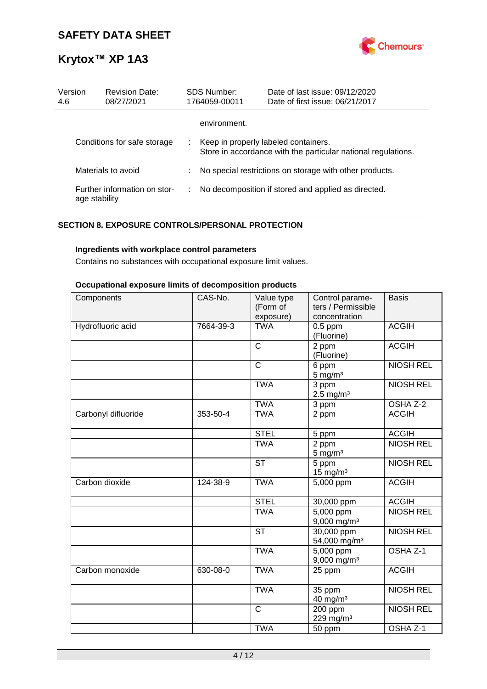

| Version<br>4.6 | <b>Revision Date:</b><br>08/27/2021           |    | SDS Number:<br>1764059-00011         | Date of last issue: 09/12/2020<br>Date of first issue: 06/21/2017 |
|----------------|-----------------------------------------------|----|--------------------------------------|-------------------------------------------------------------------|
|                |                                               |    | environment.                         |                                                                   |
|                | Conditions for safe storage                   | ÷. | Keep in properly labeled containers. | Store in accordance with the particular national regulations.     |
|                | Materials to avoid                            |    |                                      | No special restrictions on storage with other products.           |
|                | Further information on stor-<br>age stability | ÷. |                                      | No decomposition if stored and applied as directed.               |

### **SECTION 8. EXPOSURE CONTROLS/PERSONAL PROTECTION**

### **Ingredients with workplace control parameters**

Contains no substances with occupational exposure limit values.

### **Occupational exposure limits of decomposition products**

| Components          | CAS-No.   | Value type   | Control parame-           | <b>Basis</b>     |
|---------------------|-----------|--------------|---------------------------|------------------|
|                     |           | (Form of     | ters / Permissible        |                  |
|                     |           | exposure)    | concentration             |                  |
| Hydrofluoric acid   | 7664-39-3 | <b>TWA</b>   | $0.5$ ppm                 | <b>ACGIH</b>     |
|                     |           |              | (Fluorine)                |                  |
|                     |           | $\mathsf C$  | 2 ppm                     | <b>ACGIH</b>     |
|                     |           |              | (Fluorine)                |                  |
|                     |           | C            | 6 ppm                     | <b>NIOSH REL</b> |
|                     |           |              | $5 \text{ mg/m}^3$        |                  |
|                     |           | <b>TWA</b>   | 3 ppm                     | <b>NIOSH REL</b> |
|                     |           | <b>TWA</b>   | $2.5 \text{ mg/m}^3$      | OSHA Z-2         |
|                     | 353-50-4  | <b>TWA</b>   | 3 ppm                     | <b>ACGIH</b>     |
| Carbonyl difluoride |           |              | 2 ppm                     |                  |
|                     |           | <b>STEL</b>  | 5 ppm                     | <b>ACGIH</b>     |
|                     |           | <b>TWA</b>   | 2 ppm                     | <b>NIOSH REL</b> |
|                     |           |              | $5 \text{ mg/m}^3$        |                  |
|                     |           | <b>ST</b>    | 5 ppm                     | <b>NIOSH REL</b> |
|                     |           |              | $15$ mg/m <sup>3</sup>    |                  |
| Carbon dioxide      | 124-38-9  | <b>TWA</b>   | 5,000 ppm                 | <b>ACGIH</b>     |
|                     |           | <b>STEL</b>  | 30,000 ppm                | <b>ACGIH</b>     |
|                     |           | <b>TWA</b>   | $5,000$ ppm               | <b>NIOSH REL</b> |
|                     |           |              | $9,000$ mg/m <sup>3</sup> |                  |
|                     |           | <b>ST</b>    | 30,000 ppm                | <b>NIOSH REL</b> |
|                     |           |              | 54,000 mg/m <sup>3</sup>  |                  |
|                     |           | <b>TWA</b>   | 5,000 ppm                 | OSHA Z-1         |
|                     |           |              | $9,000$ mg/m <sup>3</sup> |                  |
| Carbon monoxide     | 630-08-0  | <b>TWA</b>   | 25 ppm                    | <b>ACGIH</b>     |
|                     |           | <b>TWA</b>   | 35 ppm                    | <b>NIOSH REL</b> |
|                     |           |              | 40 mg/m <sup>3</sup>      |                  |
|                     |           | $\mathsf{C}$ | 200 ppm                   | <b>NIOSH REL</b> |
|                     |           |              | 229 mg/m <sup>3</sup>     |                  |
|                     |           | <b>TWA</b>   | 50 ppm                    | OSHA Z-1         |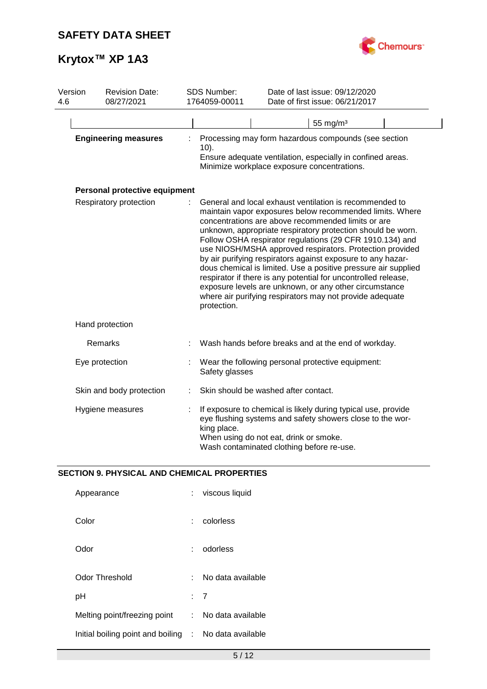

| Version<br>4.6 | <b>Revision Date:</b><br>08/27/2021 | <b>SDS Number:</b><br>1764059-00011 |                                                                                                                                                                                                                                                                                                                                                                                                                                                                                                                                                                                                                                                                                                          | Date of last issue: 09/12/2020<br>Date of first issue: 06/21/2017                                                                                                                                                 |  |  |
|----------------|-------------------------------------|-------------------------------------|----------------------------------------------------------------------------------------------------------------------------------------------------------------------------------------------------------------------------------------------------------------------------------------------------------------------------------------------------------------------------------------------------------------------------------------------------------------------------------------------------------------------------------------------------------------------------------------------------------------------------------------------------------------------------------------------------------|-------------------------------------------------------------------------------------------------------------------------------------------------------------------------------------------------------------------|--|--|
|                |                                     |                                     |                                                                                                                                                                                                                                                                                                                                                                                                                                                                                                                                                                                                                                                                                                          | 55 mg/ $m3$                                                                                                                                                                                                       |  |  |
|                | <b>Engineering measures</b>         |                                     | $10$ ).                                                                                                                                                                                                                                                                                                                                                                                                                                                                                                                                                                                                                                                                                                  | Processing may form hazardous compounds (see section<br>Ensure adequate ventilation, especially in confined areas.<br>Minimize workplace exposure concentrations.                                                 |  |  |
|                | Personal protective equipment       |                                     |                                                                                                                                                                                                                                                                                                                                                                                                                                                                                                                                                                                                                                                                                                          |                                                                                                                                                                                                                   |  |  |
|                | Respiratory protection              |                                     | General and local exhaust ventilation is recommended to<br>maintain vapor exposures below recommended limits. Where<br>concentrations are above recommended limits or are<br>unknown, appropriate respiratory protection should be worn.<br>Follow OSHA respirator regulations (29 CFR 1910.134) and<br>use NIOSH/MSHA approved respirators. Protection provided<br>by air purifying respirators against exposure to any hazar-<br>dous chemical is limited. Use a positive pressure air supplied<br>respirator if there is any potential for uncontrolled release,<br>exposure levels are unknown, or any other circumstance<br>where air purifying respirators may not provide adequate<br>protection. |                                                                                                                                                                                                                   |  |  |
|                | Hand protection                     |                                     |                                                                                                                                                                                                                                                                                                                                                                                                                                                                                                                                                                                                                                                                                                          |                                                                                                                                                                                                                   |  |  |
|                | Remarks                             |                                     |                                                                                                                                                                                                                                                                                                                                                                                                                                                                                                                                                                                                                                                                                                          | Wash hands before breaks and at the end of workday.                                                                                                                                                               |  |  |
|                | Eye protection                      |                                     | Safety glasses                                                                                                                                                                                                                                                                                                                                                                                                                                                                                                                                                                                                                                                                                           | Wear the following personal protective equipment:                                                                                                                                                                 |  |  |
|                | Skin and body protection            |                                     |                                                                                                                                                                                                                                                                                                                                                                                                                                                                                                                                                                                                                                                                                                          | Skin should be washed after contact.                                                                                                                                                                              |  |  |
|                | Hygiene measures                    |                                     | king place.                                                                                                                                                                                                                                                                                                                                                                                                                                                                                                                                                                                                                                                                                              | If exposure to chemical is likely during typical use, provide<br>eye flushing systems and safety showers close to the wor-<br>When using do not eat, drink or smoke.<br>Wash contaminated clothing before re-use. |  |  |

### **SECTION 9. PHYSICAL AND CHEMICAL PROPERTIES**

| Appearance                          |    | viscous liquid    |
|-------------------------------------|----|-------------------|
| Color                               |    | colorless         |
| Odor                                |    | odorless          |
| Odor Threshold                      |    | No data available |
| рH                                  |    | : 7               |
| Melting point/freezing point        | t. | No data available |
| Initial boiling point and boiling : |    | No data available |
|                                     |    |                   |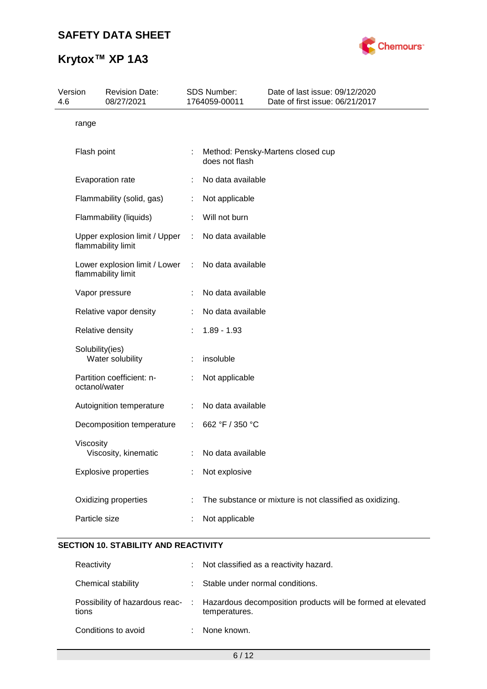

| 4.6 | Version         | <b>Revision Date:</b><br>08/27/2021                 |                           | <b>SDS Number:</b><br>1764059-00011 | Date of last issue: 09/12/2020<br>Date of first issue: 06/21/2017 |
|-----|-----------------|-----------------------------------------------------|---------------------------|-------------------------------------|-------------------------------------------------------------------|
|     | range           |                                                     |                           |                                     |                                                                   |
|     | Flash point     |                                                     |                           | does not flash                      | Method: Pensky-Martens closed cup                                 |
|     |                 | Evaporation rate                                    |                           | No data available                   |                                                                   |
|     |                 | Flammability (solid, gas)                           | t.                        | Not applicable                      |                                                                   |
|     |                 | Flammability (liquids)                              |                           | Will not burn                       |                                                                   |
|     |                 | Upper explosion limit / Upper<br>flammability limit | $\mathbb{R}^{\mathbb{Z}}$ | No data available                   |                                                                   |
|     |                 | Lower explosion limit / Lower<br>flammability limit | $\ddot{\cdot}$            | No data available                   |                                                                   |
|     |                 | Vapor pressure                                      |                           | No data available                   |                                                                   |
|     |                 | Relative vapor density                              |                           | No data available                   |                                                                   |
|     |                 | Relative density                                    |                           | $1.89 - 1.93$                       |                                                                   |
|     | Solubility(ies) | Water solubility                                    |                           | insoluble                           |                                                                   |
|     | octanol/water   | Partition coefficient: n-                           |                           | Not applicable                      |                                                                   |
|     |                 | Autoignition temperature                            |                           | No data available                   |                                                                   |
|     |                 | Decomposition temperature                           | ÷.                        | 662 °F / 350 °C                     |                                                                   |
|     | Viscosity       | Viscosity, kinematic                                | ÷.                        | No data available                   |                                                                   |
|     |                 | <b>Explosive properties</b>                         |                           | Not explosive                       |                                                                   |
|     |                 | Oxidizing properties                                |                           |                                     | The substance or mixture is not classified as oxidizing.          |
|     | Particle size   |                                                     |                           | Not applicable                      |                                                                   |
|     |                 |                                                     |                           |                                     |                                                                   |

### **SECTION 10. STABILITY AND REACTIVITY**

| Reactivity          | : Not classified as a reactivity hazard.                                                                      |
|---------------------|---------------------------------------------------------------------------------------------------------------|
| Chemical stability  | : Stable under normal conditions.                                                                             |
| tions               | Possibility of hazardous reac- : Hazardous decomposition products will be formed at elevated<br>temperatures. |
| Conditions to avoid | None known.                                                                                                   |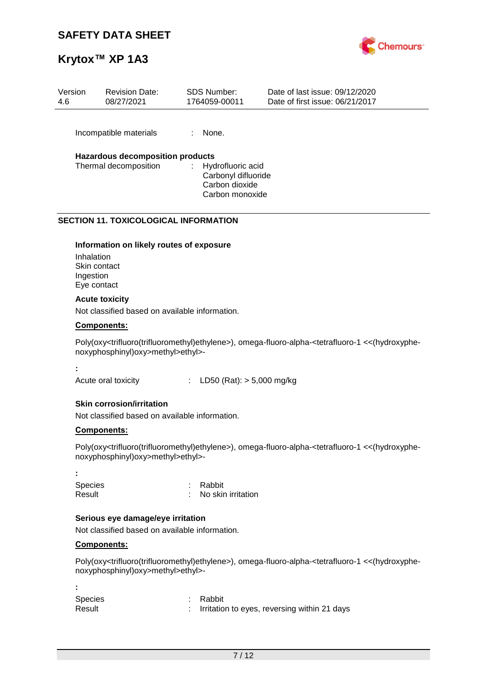### **SAFETY DATA SHEET**



### **Krytox™ XP 1A3**

| Version<br>4.6 | <b>Revision Date:</b><br>08/27/2021                       | SDS Number:<br>1764059-00011                                                       | Date of last issue: 09/12/2020<br>Date of first issue: 06/21/2017 |
|----------------|-----------------------------------------------------------|------------------------------------------------------------------------------------|-------------------------------------------------------------------|
|                | Incompatible materials                                    | None.                                                                              |                                                                   |
|                | Hazardous decomposition products<br>Thermal decomposition | Hydrofluoric acid<br>÷<br>Carbonyl difluoride<br>Carbon dioxide<br>Carbon monoxide |                                                                   |

### **SECTION 11. TOXICOLOGICAL INFORMATION**

### **Information on likely routes of exposure**

Inhalation Skin contact Ingestion Eye contact

### **Acute toxicity**

Not classified based on available information.

### **Components:**

Poly(oxy<trifluoro(trifluoromethyl)ethylene>), omega-fluoro-alpha-<tetrafluoro-1 <<(hydroxyphenoxyphosphinyl)oxy>methyl>ethyl>-

**:**

Acute oral toxicity : LD50 (Rat): > 5,000 mg/kg

### **Skin corrosion/irritation**

Not classified based on available information.

### **Components:**

Poly(oxy<trifluoro(trifluoromethyl)ethylene>), omega-fluoro-alpha-<tetrafluoro-1 <<(hydroxyphenoxyphosphinyl)oxy>methyl>ethyl>-

**:** Species : Rabbit Result : No skin irritation

### **Serious eye damage/eye irritation**

Not classified based on available information.

### **Components:**

**:**

Poly(oxy<trifluoro(trifluoromethyl)ethylene>), omega-fluoro-alpha-<tetrafluoro-1 <<(hydroxyphenoxyphosphinyl)oxy>methyl>ethyl>-

Species : Rabbit Result : Irritation to eyes, reversing within 21 days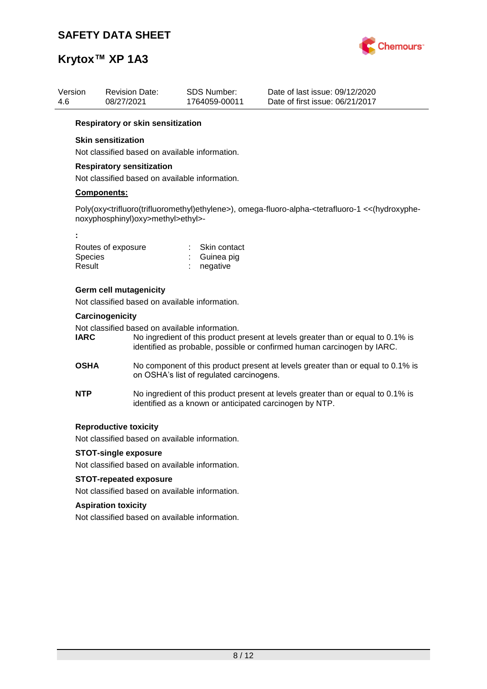

| Version<br>4.6           | <b>Revision Date:</b><br>08/27/2021                                             | SDS Number:<br>1764059-00011           | Date of last issue: 09/12/2020<br>Date of first issue: 06/21/2017                                                                                                |
|--------------------------|---------------------------------------------------------------------------------|----------------------------------------|------------------------------------------------------------------------------------------------------------------------------------------------------------------|
|                          | Respiratory or skin sensitization                                               |                                        |                                                                                                                                                                  |
|                          | <b>Skin sensitization</b>                                                       |                                        |                                                                                                                                                                  |
|                          | Not classified based on available information.                                  |                                        |                                                                                                                                                                  |
|                          | <b>Respiratory sensitization</b>                                                |                                        |                                                                                                                                                                  |
|                          | Not classified based on available information.                                  |                                        |                                                                                                                                                                  |
|                          | <b>Components:</b>                                                              |                                        |                                                                                                                                                                  |
|                          | noxyphosphinyl)oxy>methyl>ethyl>-                                               |                                        | Poly(oxy <trifluoro(trifluoromethyl)ethylene>), omega-fluoro-alpha-<tetrafluoro-1 <<(hydroxyphe-<="" td=""></tetrafluoro-1></trifluoro(trifluoromethyl)ethylene> |
| ÷                        |                                                                                 |                                        |                                                                                                                                                                  |
| <b>Species</b><br>Result | Routes of exposure                                                              | Skin contact<br>Guinea pig<br>negative |                                                                                                                                                                  |
|                          | <b>Germ cell mutagenicity</b><br>Not classified based on available information. |                                        |                                                                                                                                                                  |
|                          |                                                                                 |                                        |                                                                                                                                                                  |

### **Carcinogenicity**

Not classified based on available information.

| <b>IARC</b> | No ingredient of this product present at levels greater than or equal to 0.1% is |
|-------------|----------------------------------------------------------------------------------|
|             | identified as probable, possible or confirmed human carcinogen by IARC.          |

- **OSHA** No component of this product present at levels greater than or equal to 0.1% is on OSHA's list of regulated carcinogens.
- **NTP** No ingredient of this product present at levels greater than or equal to 0.1% is identified as a known or anticipated carcinogen by NTP.

### **Reproductive toxicity**

Not classified based on available information.

### **STOT-single exposure**

Not classified based on available information.

### **STOT-repeated exposure**

Not classified based on available information.

### **Aspiration toxicity**

Not classified based on available information.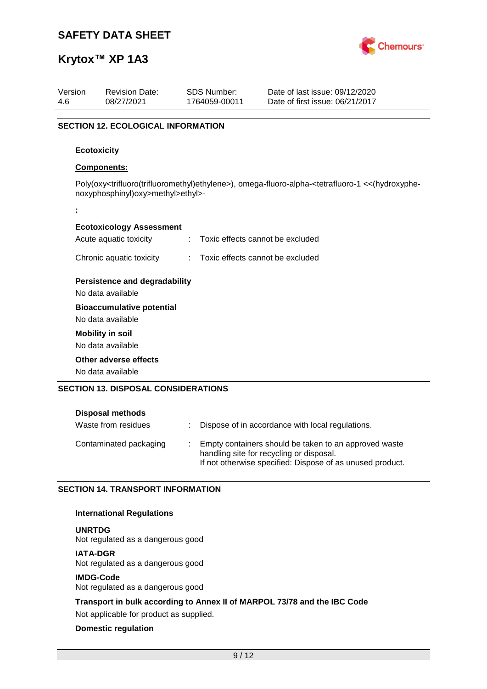

| Version<br>4.6 | <b>Revision Date:</b><br>08/27/2021        |   | <b>SDS Number:</b><br>1764059-00011 | Date of last issue: 09/12/2020<br>Date of first issue: 06/21/2017                                                                                                |
|----------------|--------------------------------------------|---|-------------------------------------|------------------------------------------------------------------------------------------------------------------------------------------------------------------|
|                |                                            |   |                                     |                                                                                                                                                                  |
|                | <b>SECTION 12. ECOLOGICAL INFORMATION</b>  |   |                                     |                                                                                                                                                                  |
|                | <b>Ecotoxicity</b>                         |   |                                     |                                                                                                                                                                  |
|                | Components:                                |   |                                     |                                                                                                                                                                  |
|                | noxyphosphinyl)oxy>methyl>ethyl>-          |   |                                     | Poly(oxy <trifluoro(trifluoromethyl)ethylene>), omega-fluoro-alpha-<tetrafluoro-1 <<(hydroxyphe-<="" td=""></tetrafluoro-1></trifluoro(trifluoromethyl)ethylene> |
| t              |                                            |   |                                     |                                                                                                                                                                  |
|                | <b>Ecotoxicology Assessment</b>            |   |                                     |                                                                                                                                                                  |
|                | Acute aquatic toxicity                     | ÷ | Toxic effects cannot be excluded    |                                                                                                                                                                  |
|                | Chronic aquatic toxicity                   | ÷ | Toxic effects cannot be excluded    |                                                                                                                                                                  |
|                | <b>Persistence and degradability</b>       |   |                                     |                                                                                                                                                                  |
|                | No data available                          |   |                                     |                                                                                                                                                                  |
|                | <b>Bioaccumulative potential</b>           |   |                                     |                                                                                                                                                                  |
|                | No data available                          |   |                                     |                                                                                                                                                                  |
|                | <b>Mobility in soil</b>                    |   |                                     |                                                                                                                                                                  |
|                | No data available                          |   |                                     |                                                                                                                                                                  |
|                | Other adverse effects                      |   |                                     |                                                                                                                                                                  |
|                | No data available                          |   |                                     |                                                                                                                                                                  |
|                | <b>SECTION 13. DISPOSAL CONSIDERATIONS</b> |   |                                     |                                                                                                                                                                  |

| <b>Disposal methods</b> |                                                                                                                                                                |
|-------------------------|----------------------------------------------------------------------------------------------------------------------------------------------------------------|
| Waste from residues     | Dispose of in accordance with local regulations.                                                                                                               |
| Contaminated packaging  | Empty containers should be taken to an approved waste<br>handling site for recycling or disposal.<br>If not otherwise specified: Dispose of as unused product. |

### **SECTION 14. TRANSPORT INFORMATION**

### **International Regulations**

**UNRTDG**

Not regulated as a dangerous good

### **IATA-DGR**

Not regulated as a dangerous good

### **IMDG-Code**

Not regulated as a dangerous good

**Transport in bulk according to Annex II of MARPOL 73/78 and the IBC Code**

Not applicable for product as supplied.

### **Domestic regulation**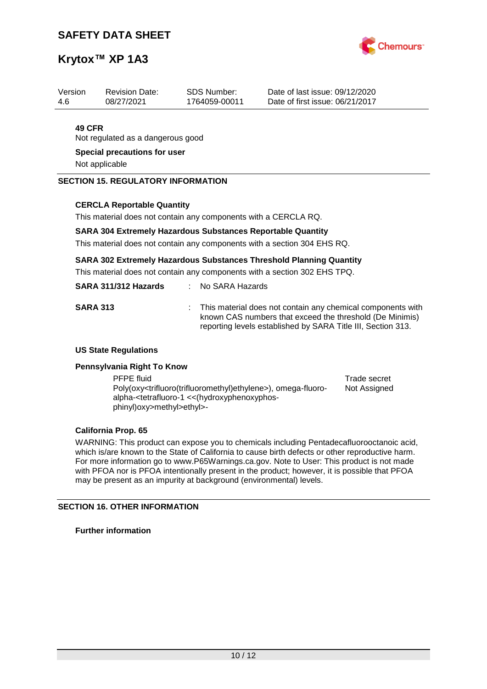

| Version | <b>Revision Date:</b> | SDS Number:   | Date of last issue: 09/12/2020  |
|---------|-----------------------|---------------|---------------------------------|
| -4.6    | 08/27/2021            | 1764059-00011 | Date of first issue: 06/21/2017 |
|         |                       |               |                                 |

### **49 CFR**

Not regulated as a dangerous good

**Special precautions for user**

Not applicable

### **SECTION 15. REGULATORY INFORMATION**

### **CERCLA Reportable Quantity**

This material does not contain any components with a CERCLA RQ.

### **SARA 304 Extremely Hazardous Substances Reportable Quantity**

This material does not contain any components with a section 304 EHS RQ.

### **SARA 302 Extremely Hazardous Substances Threshold Planning Quantity**

This material does not contain any components with a section 302 EHS TPQ.

| SARA 311/312 Hazards |  | No SARA Hazards |
|----------------------|--|-----------------|
|----------------------|--|-----------------|

| <b>SARA 313</b> | : This material does not contain any chemical components with<br>known CAS numbers that exceed the threshold (De Minimis) |
|-----------------|---------------------------------------------------------------------------------------------------------------------------|
|                 | reporting levels established by SARA Title III, Section 313.                                                              |

### **US State Regulations**

### **Pennsylvania Right To Know**

PFPE fluid Trade secret Poly(oxy<trifluoro(trifluoromethyl)ethylene>), omega-fluoroalpha-<tetrafluoro-1 <<(hydroxyphenoxyphosphinyl)oxy>methyl>ethyl>- Not Assigned

### **California Prop. 65**

WARNING: This product can expose you to chemicals including Pentadecafluorooctanoic acid, which is/are known to the State of California to cause birth defects or other reproductive harm. For more information go to www.P65Warnings.ca.gov. Note to User: This product is not made with PFOA nor is PFOA intentionally present in the product; however, it is possible that PFOA may be present as an impurity at background (environmental) levels.

### **SECTION 16. OTHER INFORMATION**

**Further information**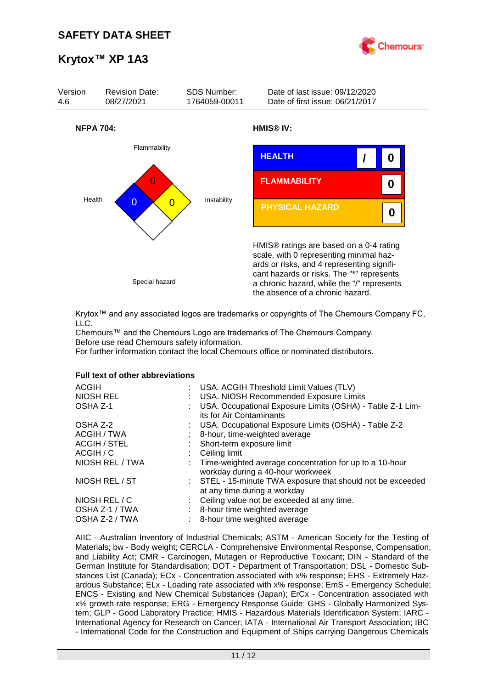



Krytox™ and any associated logos are trademarks or copyrights of The Chemours Company FC, LLC.

Chemours™ and the Chemours Logo are trademarks of The Chemours Company. Before use read Chemours safety information.

For further information contact the local Chemours office or nominated distributors.

### **Full text of other abbreviations**

| : USA. ACGIH Threshold Limit Values (TLV)<br>: USA. NIOSH Recommended Exposure Limits<br>USA. Occupational Exposure Limits (OSHA) - Table Z-1 Lim- |
|----------------------------------------------------------------------------------------------------------------------------------------------------|
| its for Air Contaminants<br>: USA. Occupational Exposure Limits (OSHA) - Table Z-2                                                                 |
| 8-hour, time-weighted average                                                                                                                      |
| : Short-term exposure limit                                                                                                                        |
| $\therefore$ Ceiling limit                                                                                                                         |
| : Time-weighted average concentration for up to a 10-hour<br>workday during a 40-hour workweek                                                     |
| : STEL - 15-minute TWA exposure that should not be exceeded<br>at any time during a workday                                                        |
| : Ceiling value not be exceeded at any time.                                                                                                       |
| : 8-hour time weighted average                                                                                                                     |
| : 8-hour time weighted average                                                                                                                     |
|                                                                                                                                                    |

AIIC - Australian Inventory of Industrial Chemicals; ASTM - American Society for the Testing of Materials; bw - Body weight; CERCLA - Comprehensive Environmental Response, Compensation, and Liability Act; CMR - Carcinogen, Mutagen or Reproductive Toxicant; DIN - Standard of the German Institute for Standardisation; DOT - Department of Transportation; DSL - Domestic Substances List (Canada); ECx - Concentration associated with x% response; EHS - Extremely Hazardous Substance; ELx - Loading rate associated with x% response; EmS - Emergency Schedule; ENCS - Existing and New Chemical Substances (Japan); ErCx - Concentration associated with x% growth rate response; ERG - Emergency Response Guide; GHS - Globally Harmonized System; GLP - Good Laboratory Practice; HMIS - Hazardous Materials Identification System; IARC - International Agency for Research on Cancer; IATA - International Air Transport Association; IBC - International Code for the Construction and Equipment of Ships carrying Dangerous Chemicals